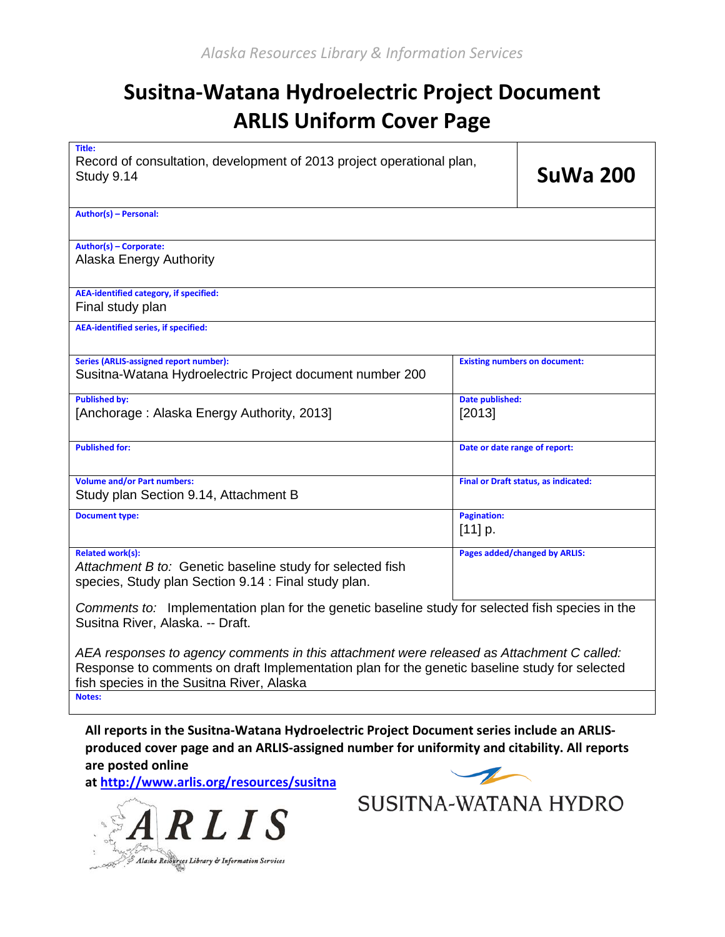# **Susitna-Watana Hydroelectric Project Document ARLIS Uniform Cover Page**

| Title:<br>Record of consultation, development of 2013 project operational plan,<br>Study 9.14                                                                                              | <b>SuWa 200</b>                      |  |  |
|--------------------------------------------------------------------------------------------------------------------------------------------------------------------------------------------|--------------------------------------|--|--|
| Author(s) - Personal:                                                                                                                                                                      |                                      |  |  |
| Author(s) - Corporate:<br>Alaska Energy Authority                                                                                                                                          |                                      |  |  |
| <b>AEA-identified category, if specified:</b><br>Final study plan                                                                                                                          |                                      |  |  |
| <b>AEA-identified series, if specified:</b>                                                                                                                                                |                                      |  |  |
| <b>Series (ARLIS-assigned report number):</b><br>Susitna-Watana Hydroelectric Project document number 200                                                                                  | <b>Existing numbers on document:</b> |  |  |
| <b>Published by:</b><br>[Anchorage: Alaska Energy Authority, 2013]                                                                                                                         | Date published:<br>[2013]            |  |  |
| <b>Published for:</b>                                                                                                                                                                      | Date or date range of report:        |  |  |
| <b>Volume and/or Part numbers:</b><br>Study plan Section 9.14, Attachment B                                                                                                                | Final or Draft status, as indicated: |  |  |
| <b>Document type:</b>                                                                                                                                                                      | <b>Pagination:</b><br>$[11]$ p.      |  |  |
| <b>Related work(s):</b><br>Attachment B to: Genetic baseline study for selected fish<br>species, Study plan Section 9.14 : Final study plan.                                               | Pages added/changed by ARLIS:        |  |  |
| Comments to: Implementation plan for the genetic baseline study for selected fish species in the<br>Susitna River, Alaska. -- Draft.                                                       |                                      |  |  |
| AEA responses to agency comments in this attachment were released as Attachment C called:<br>Response to comments on droft Implementation plan for the genetic baseline study for selected |                                      |  |  |

Response to comments on draft Implementation plan for the genetic baseline study for selected fish species in the Susitna River, Alaska

**Notes:** 

**All reports in the Susitna-Watana Hydroelectric Project Document series include an ARLISproduced cover page and an ARLIS-assigned number for uniformity and citability. All reports are posted online** 

**at [http://www.arlis.org/resources/susitna](http://www.arlis.org/resources/susitna-watana/)**





SUSITNA-WATANA HYDRO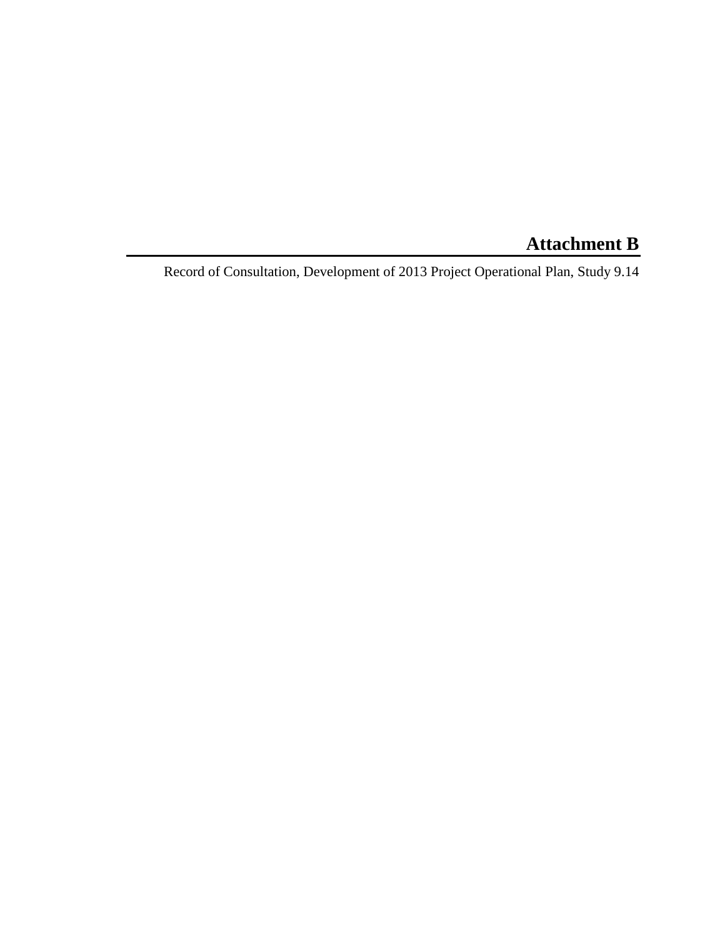# **Attachment B**

Record of Consultation, Development of 2013 Project Operational Plan, Study 9.14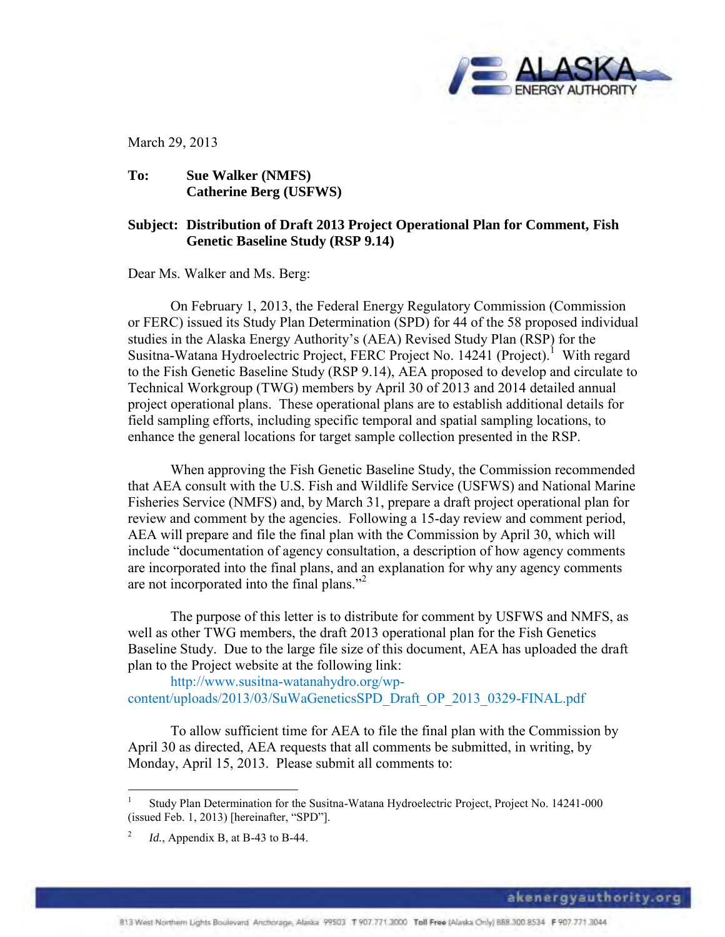

March 29, 2013

## **To: Sue Walker (NMFS) Catherine Berg (USFWS)**

# **Subject: Distribution of Draft 2013 Project Operational Plan for Comment, Fish Genetic Baseline Study (RSP 9.14)**

Dear Ms. Walker and Ms. Berg:

On February 1, 2013, the Federal Energy Regulatory Commission (Commission or FERC) issued its Study Plan Determination (SPD) for 44 of the 58 proposed individual studies in the Alaska Energy Authority's (AEA) Revised Study Plan (RSP) for the Susitna-Watana Hydroelectric Project, FERC Project No. 14241 (Project).<sup>1</sup> With regard to the Fish Genetic Baseline Study (RSP 9.14), AEA proposed to develop and circulate to Technical Workgroup (TWG) members by April 30 of 2013 and 2014 detailed annual project operational plans. These operational plans are to establish additional details for field sampling efforts, including specific temporal and spatial sampling locations, to enhance the general locations for target sample collection presented in the RSP.

When approving the Fish Genetic Baseline Study, the Commission recommended that AEA consult with the U.S. Fish and Wildlife Service (USFWS) and National Marine Fisheries Service (NMFS) and, by March 31, prepare a draft project operational plan for review and comment by the agencies. Following a 15-day review and comment period, AEA will prepare and file the final plan with the Commission by April 30, which will include "documentation of agency consultation, a description of how agency comments are incorporated into the final plans, and an explanation for why any agency comments are not incorporated into the final plans."<sup>2</sup>

The purpose of this letter is to distribute for comment by USFWS and NMFS, as well as other TWG members, the draft 2013 operational plan for the Fish Genetics Baseline Study. Due to the large file size of this document, AEA has uploaded the draft plan to the Project website at the following link:

http://www.susitna-watanahydro.org/wpcontent/uploads/2013/03/SuWaGeneticsSPD\_Draft\_OP\_2013\_0329-FINAL.pdf

To allow sufficient time for AEA to file the final plan with the Commission by April 30 as directed, AEA requests that all comments be submitted, in writing, by Monday, April 15, 2013. Please submit all comments to:

 $\overline{a}$ 

<sup>1</sup> Study Plan Determination for the Susitna-Watana Hydroelectric Project, Project No. 14241-000 (issued Feb. 1, 2013) [hereinafter, "SPD"].

<sup>2</sup> *Id.*, Appendix B, at B-43 to B-44.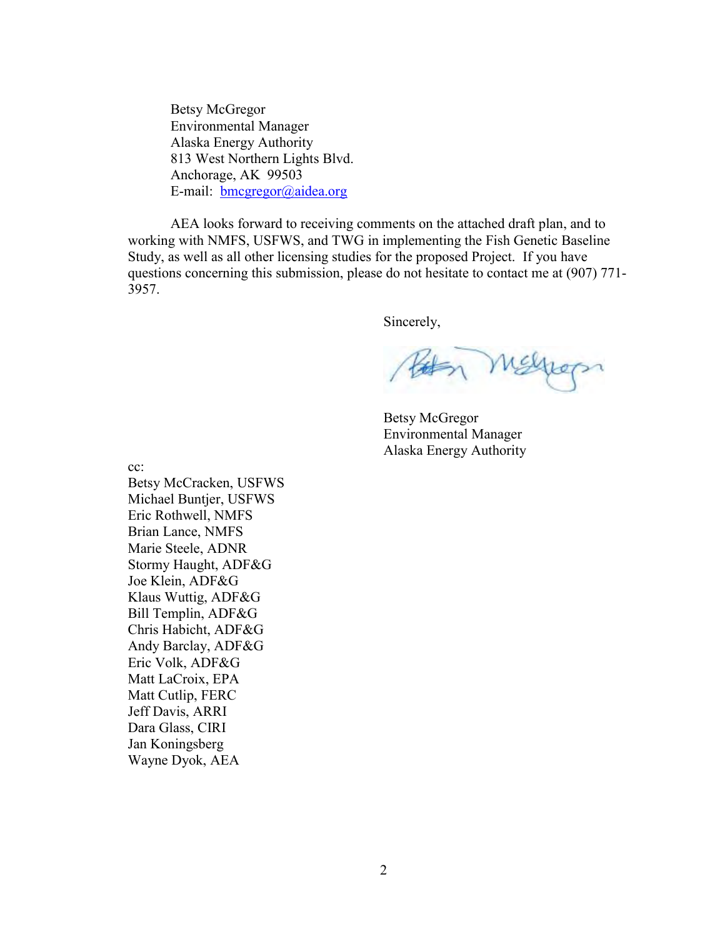Betsy McGregor Environmental Manager Alaska Energy Authority 813 West Northern Lights Blvd. Anchorage, AK 99503 E-mail: [bmcgregor@aidea.org](mailto:bmcgregor@aidea.org)

AEA looks forward to receiving comments on the attached draft plan, and to working with NMFS, USFWS, and TWG in implementing the Fish Genetic Baseline Study, as well as all other licensing studies for the proposed Project. If you have questions concerning this submission, please do not hesitate to contact me at (907) 771- 3957.

Sincerely,

Melpops

Betsy McGregor Environmental Manager Alaska Energy Authority

cc:

Betsy McCracken, USFWS Michael Buntjer, USFWS Eric Rothwell, NMFS Brian Lance, NMFS Marie Steele, ADNR Stormy Haught, ADF&G Joe Klein, ADF&G Klaus Wuttig, ADF&G Bill Templin, ADF&G Chris Habicht, ADF&G Andy Barclay, ADF&G Eric Volk, ADF&G Matt LaCroix, EPA Matt Cutlip, FERC Jeff Davis, ARRI Dara Glass, CIRI Jan Koningsberg Wayne Dyok, AEA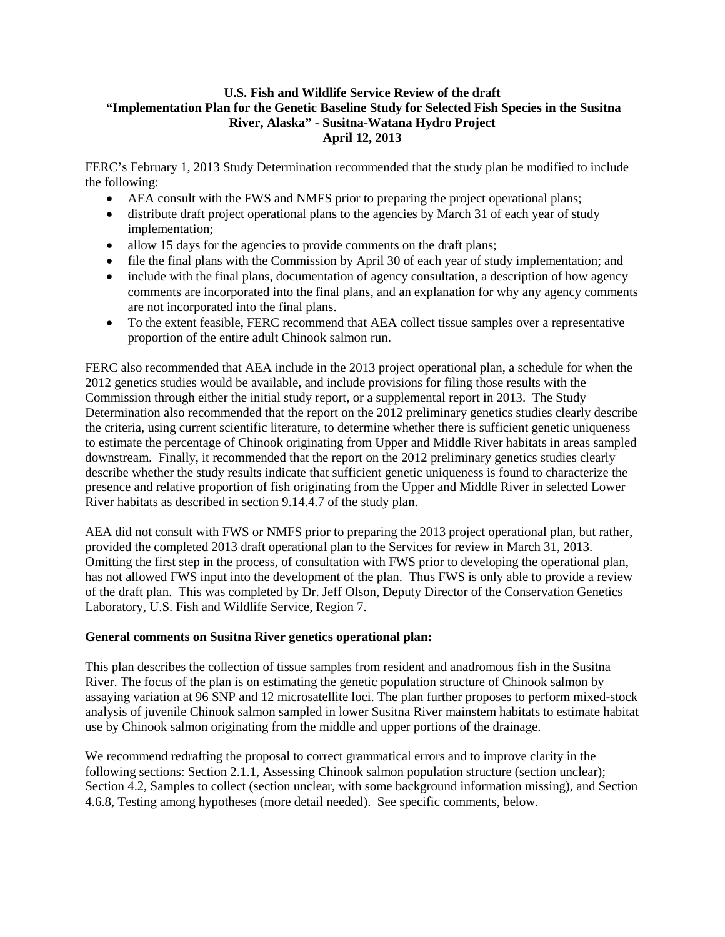#### **U.S. Fish and Wildlife Service Review of the draft "Implementation Plan for the Genetic Baseline Study for Selected Fish Species in the Susitna River, Alaska" - Susitna-Watana Hydro Project April 12, 2013**

FERC's February 1, 2013 Study Determination recommended that the study plan be modified to include the following:

- AEA consult with the FWS and NMFS prior to preparing the project operational plans;
- distribute draft project operational plans to the agencies by March 31 of each year of study implementation;
- allow 15 days for the agencies to provide comments on the draft plans;
- file the final plans with the Commission by April 30 of each year of study implementation; and
- include with the final plans, documentation of agency consultation, a description of how agency comments are incorporated into the final plans, and an explanation for why any agency comments are not incorporated into the final plans.
- To the extent feasible, FERC recommend that AEA collect tissue samples over a representative proportion of the entire adult Chinook salmon run.

FERC also recommended that AEA include in the 2013 project operational plan, a schedule for when the 2012 genetics studies would be available, and include provisions for filing those results with the Commission through either the initial study report, or a supplemental report in 2013. The Study Determination also recommended that the report on the 2012 preliminary genetics studies clearly describe the criteria, using current scientific literature, to determine whether there is sufficient genetic uniqueness to estimate the percentage of Chinook originating from Upper and Middle River habitats in areas sampled downstream. Finally, it recommended that the report on the 2012 preliminary genetics studies clearly describe whether the study results indicate that sufficient genetic uniqueness is found to characterize the presence and relative proportion of fish originating from the Upper and Middle River in selected Lower River habitats as described in section 9.14.4.7 of the study plan.

AEA did not consult with FWS or NMFS prior to preparing the 2013 project operational plan, but rather, provided the completed 2013 draft operational plan to the Services for review in March 31, 2013. Omitting the first step in the process, of consultation with FWS prior to developing the operational plan, has not allowed FWS input into the development of the plan. Thus FWS is only able to provide a review of the draft plan. This was completed by Dr. Jeff Olson, Deputy Director of the Conservation Genetics Laboratory, U.S. Fish and Wildlife Service, Region 7.

#### **General comments on Susitna River genetics operational plan:**

This plan describes the collection of tissue samples from resident and anadromous fish in the Susitna River. The focus of the plan is on estimating the genetic population structure of Chinook salmon by assaying variation at 96 SNP and 12 microsatellite loci. The plan further proposes to perform mixed-stock analysis of juvenile Chinook salmon sampled in lower Susitna River mainstem habitats to estimate habitat use by Chinook salmon originating from the middle and upper portions of the drainage.

We recommend redrafting the proposal to correct grammatical errors and to improve clarity in the following sections: Section 2.1.1, Assessing Chinook salmon population structure (section unclear); Section 4.2, Samples to collect (section unclear, with some background information missing), and Section 4.6.8, Testing among hypotheses (more detail needed). See specific comments, below.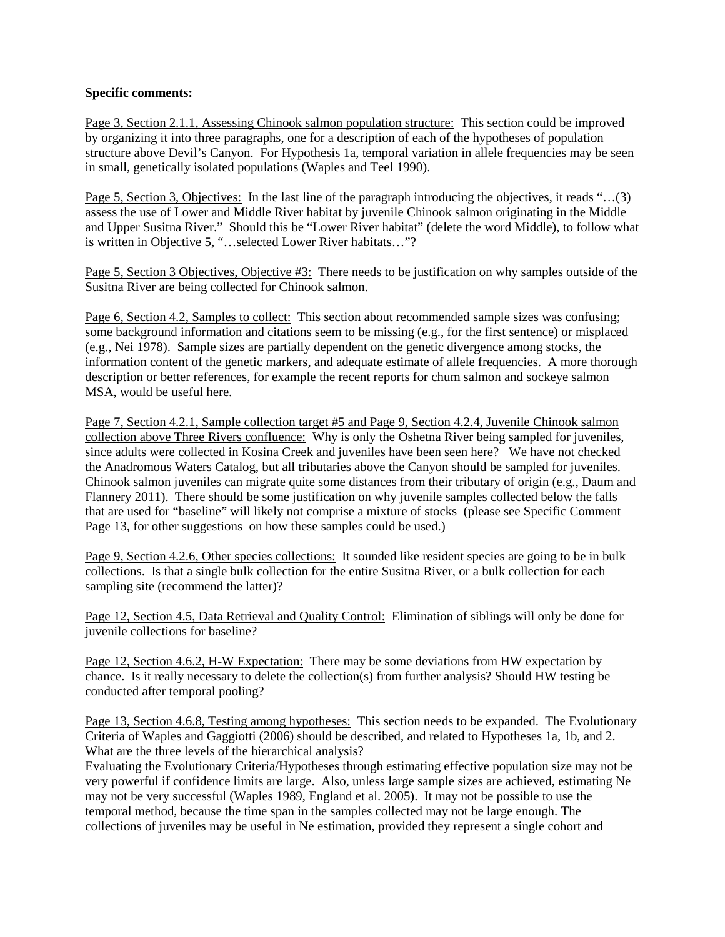#### **Specific comments:**

Page 3, Section 2.1.1, Assessing Chinook salmon population structure: This section could be improved by organizing it into three paragraphs, one for a description of each of the hypotheses of population structure above Devil's Canyon. For Hypothesis 1a, temporal variation in allele frequencies may be seen in small, genetically isolated populations (Waples and Teel 1990).

Page 5, Section 3, Objectives: In the last line of the paragraph introducing the objectives, it reads "…(3) assess the use of Lower and Middle River habitat by juvenile Chinook salmon originating in the Middle and Upper Susitna River." Should this be "Lower River habitat" (delete the word Middle), to follow what is written in Objective 5, "…selected Lower River habitats…"?

Page 5, Section 3 Objectives, Objective #3: There needs to be justification on why samples outside of the Susitna River are being collected for Chinook salmon.

Page 6, Section 4.2, Samples to collect: This section about recommended sample sizes was confusing; some background information and citations seem to be missing (e.g., for the first sentence) or misplaced (e.g., Nei 1978). Sample sizes are partially dependent on the genetic divergence among stocks, the information content of the genetic markers, and adequate estimate of allele frequencies. A more thorough description or better references, for example the recent reports for chum salmon and sockeye salmon MSA, would be useful here.

Page 7, Section 4.2.1, Sample collection target #5 and Page 9, Section 4.2.4, Juvenile Chinook salmon collection above Three Rivers confluence: Why is only the Oshetna River being sampled for juveniles, since adults were collected in Kosina Creek and juveniles have been seen here? We have not checked the Anadromous Waters Catalog, but all tributaries above the Canyon should be sampled for juveniles. Chinook salmon juveniles can migrate quite some distances from their tributary of origin (e.g., Daum and Flannery 2011). There should be some justification on why juvenile samples collected below the falls that are used for "baseline" will likely not comprise a mixture of stocks (please see Specific Comment Page 13, for other suggestions on how these samples could be used.)

Page 9, Section 4.2.6, Other species collections: It sounded like resident species are going to be in bulk collections. Is that a single bulk collection for the entire Susitna River, or a bulk collection for each sampling site (recommend the latter)?

Page 12, Section 4.5, Data Retrieval and Quality Control: Elimination of siblings will only be done for juvenile collections for baseline?

Page 12, Section 4.6.2, H-W Expectation: There may be some deviations from HW expectation by chance. Is it really necessary to delete the collection(s) from further analysis? Should HW testing be conducted after temporal pooling?

Page 13, Section 4.6.8, Testing among hypotheses: This section needs to be expanded. The Evolutionary Criteria of Waples and Gaggiotti (2006) should be described, and related to Hypotheses 1a, 1b, and 2. What are the three levels of the hierarchical analysis?

Evaluating the Evolutionary Criteria/Hypotheses through estimating effective population size may not be very powerful if confidence limits are large. Also, unless large sample sizes are achieved, estimating Ne may not be very successful (Waples 1989, England et al. 2005). It may not be possible to use the temporal method, because the time span in the samples collected may not be large enough. The collections of juveniles may be useful in Ne estimation, provided they represent a single cohort and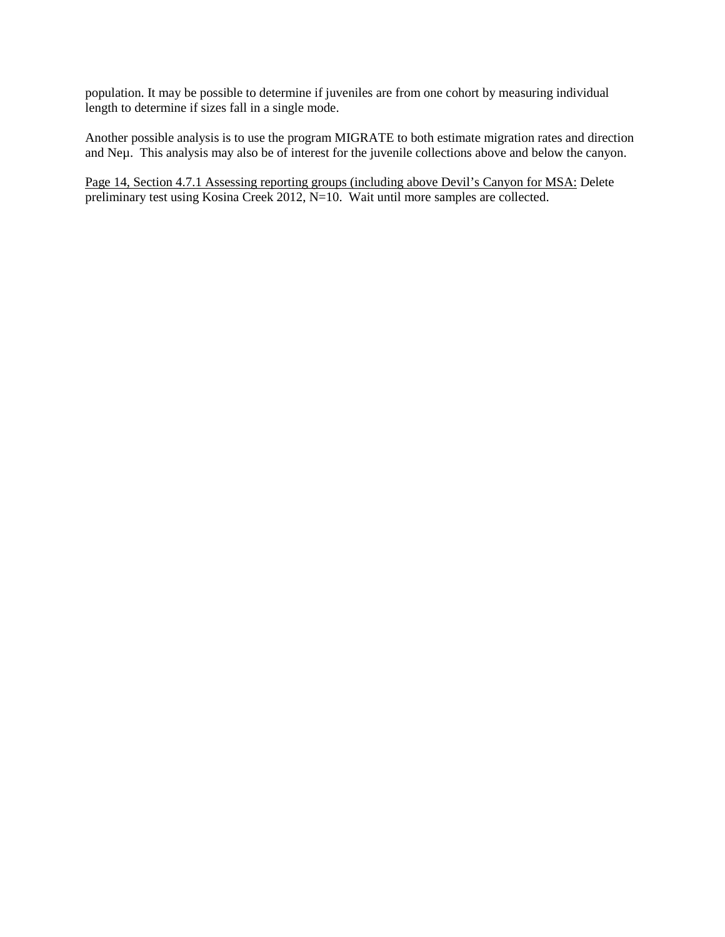population. It may be possible to determine if juveniles are from one cohort by measuring individual length to determine if sizes fall in a single mode.

Another possible analysis is to use the program MIGRATE to both estimate migration rates and direction and Neµ. This analysis may also be of interest for the juvenile collections above and below the canyon.

Page 14, Section 4.7.1 Assessing reporting groups (including above Devil's Canyon for MSA: Delete preliminary test using Kosina Creek 2012, N=10. Wait until more samples are collected.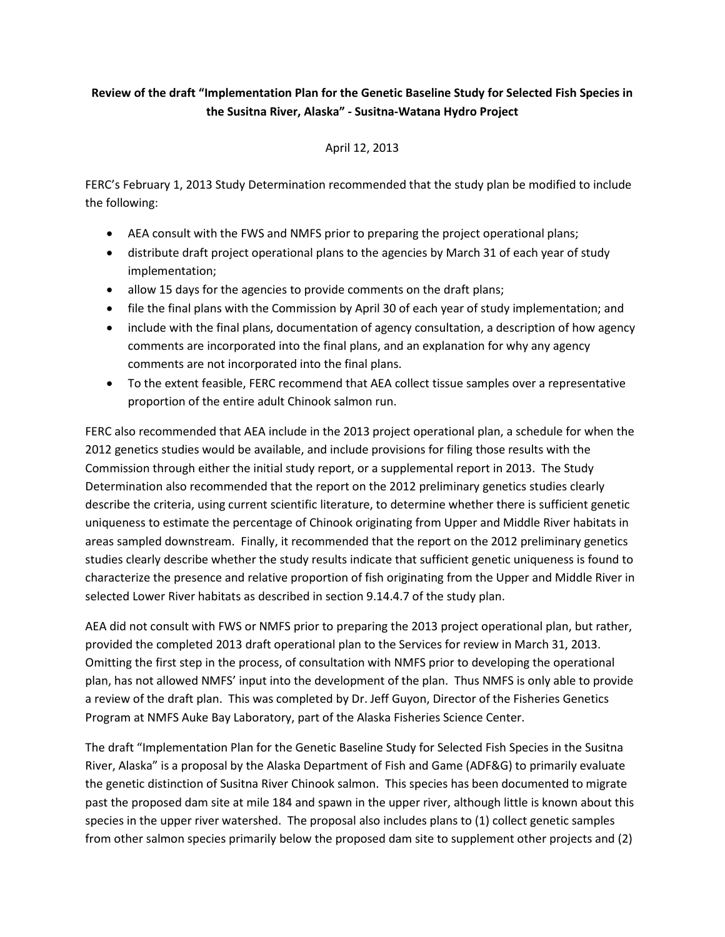## **Review of the draft "Implementation Plan for the Genetic Baseline Study for Selected Fish Species in the Susitna River, Alaska" - Susitna-Watana Hydro Project**

#### April 12, 2013

FERC's February 1, 2013 Study Determination recommended that the study plan be modified to include the following:

- AEA consult with the FWS and NMFS prior to preparing the project operational plans;
- distribute draft project operational plans to the agencies by March 31 of each year of study implementation;
- allow 15 days for the agencies to provide comments on the draft plans;
- file the final plans with the Commission by April 30 of each year of study implementation; and
- include with the final plans, documentation of agency consultation, a description of how agency comments are incorporated into the final plans, and an explanation for why any agency comments are not incorporated into the final plans.
- To the extent feasible, FERC recommend that AEA collect tissue samples over a representative proportion of the entire adult Chinook salmon run.

FERC also recommended that AEA include in the 2013 project operational plan, a schedule for when the 2012 genetics studies would be available, and include provisions for filing those results with the Commission through either the initial study report, or a supplemental report in 2013. The Study Determination also recommended that the report on the 2012 preliminary genetics studies clearly describe the criteria, using current scientific literature, to determine whether there is sufficient genetic uniqueness to estimate the percentage of Chinook originating from Upper and Middle River habitats in areas sampled downstream. Finally, it recommended that the report on the 2012 preliminary genetics studies clearly describe whether the study results indicate that sufficient genetic uniqueness is found to characterize the presence and relative proportion of fish originating from the Upper and Middle River in selected Lower River habitats as described in section 9.14.4.7 of the study plan.

AEA did not consult with FWS or NMFS prior to preparing the 2013 project operational plan, but rather, provided the completed 2013 draft operational plan to the Services for review in March 31, 2013. Omitting the first step in the process, of consultation with NMFS prior to developing the operational plan, has not allowed NMFS' input into the development of the plan. Thus NMFS is only able to provide a review of the draft plan. This was completed by Dr. Jeff Guyon, Director of the Fisheries Genetics Program at NMFS Auke Bay Laboratory, part of the Alaska Fisheries Science Center.

The draft "Implementation Plan for the Genetic Baseline Study for Selected Fish Species in the Susitna River, Alaska" is a proposal by the Alaska Department of Fish and Game (ADF&G) to primarily evaluate the genetic distinction of Susitna River Chinook salmon. This species has been documented to migrate past the proposed dam site at mile 184 and spawn in the upper river, although little is known about this species in the upper river watershed. The proposal also includes plans to (1) collect genetic samples from other salmon species primarily below the proposed dam site to supplement other projects and (2)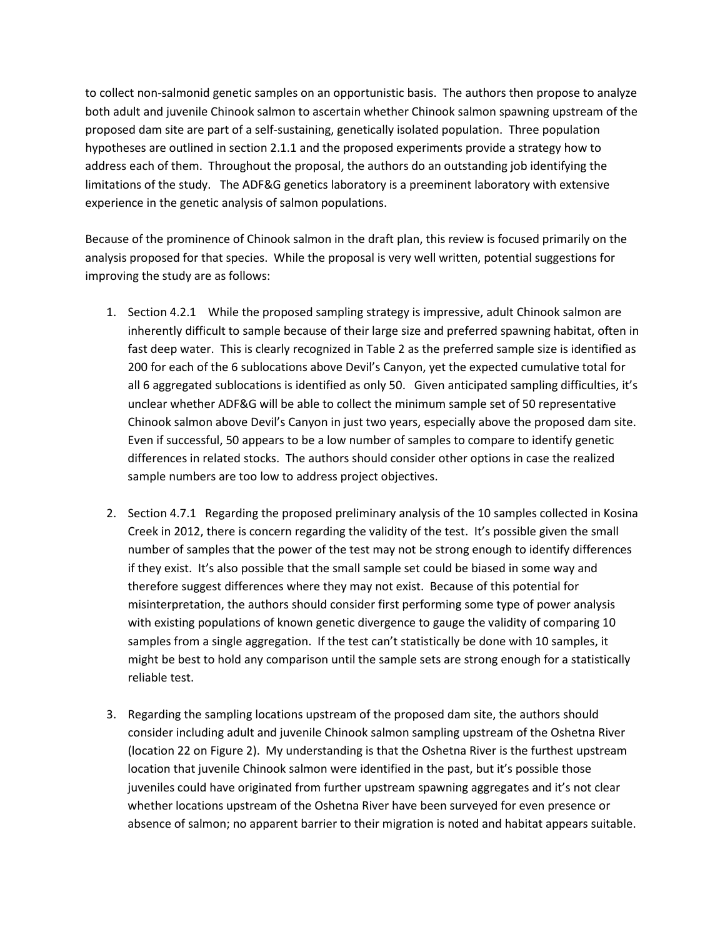to collect non-salmonid genetic samples on an opportunistic basis. The authors then propose to analyze both adult and juvenile Chinook salmon to ascertain whether Chinook salmon spawning upstream of the proposed dam site are part of a self-sustaining, genetically isolated population. Three population hypotheses are outlined in section 2.1.1 and the proposed experiments provide a strategy how to address each of them. Throughout the proposal, the authors do an outstanding job identifying the limitations of the study. The ADF&G genetics laboratory is a preeminent laboratory with extensive experience in the genetic analysis of salmon populations.

Because of the prominence of Chinook salmon in the draft plan, this review is focused primarily on the analysis proposed for that species. While the proposal is very well written, potential suggestions for improving the study are as follows:

- 1. Section 4.2.1 While the proposed sampling strategy is impressive, adult Chinook salmon are inherently difficult to sample because of their large size and preferred spawning habitat, often in fast deep water. This is clearly recognized in Table 2 as the preferred sample size is identified as 200 for each of the 6 sublocations above Devil's Canyon, yet the expected cumulative total for all 6 aggregated sublocations is identified as only 50. Given anticipated sampling difficulties, it's unclear whether ADF&G will be able to collect the minimum sample set of 50 representative Chinook salmon above Devil's Canyon in just two years, especially above the proposed dam site. Even if successful, 50 appears to be a low number of samples to compare to identify genetic differences in related stocks. The authors should consider other options in case the realized sample numbers are too low to address project objectives.
- 2. Section 4.7.1 Regarding the proposed preliminary analysis of the 10 samples collected in Kosina Creek in 2012, there is concern regarding the validity of the test. It's possible given the small number of samples that the power of the test may not be strong enough to identify differences if they exist. It's also possible that the small sample set could be biased in some way and therefore suggest differences where they may not exist. Because of this potential for misinterpretation, the authors should consider first performing some type of power analysis with existing populations of known genetic divergence to gauge the validity of comparing 10 samples from a single aggregation. If the test can't statistically be done with 10 samples, it might be best to hold any comparison until the sample sets are strong enough for a statistically reliable test.
- 3. Regarding the sampling locations upstream of the proposed dam site, the authors should consider including adult and juvenile Chinook salmon sampling upstream of the Oshetna River (location 22 on Figure 2). My understanding is that the Oshetna River is the furthest upstream location that juvenile Chinook salmon were identified in the past, but it's possible those juveniles could have originated from further upstream spawning aggregates and it's not clear whether locations upstream of the Oshetna River have been surveyed for even presence or absence of salmon; no apparent barrier to their migration is noted and habitat appears suitable.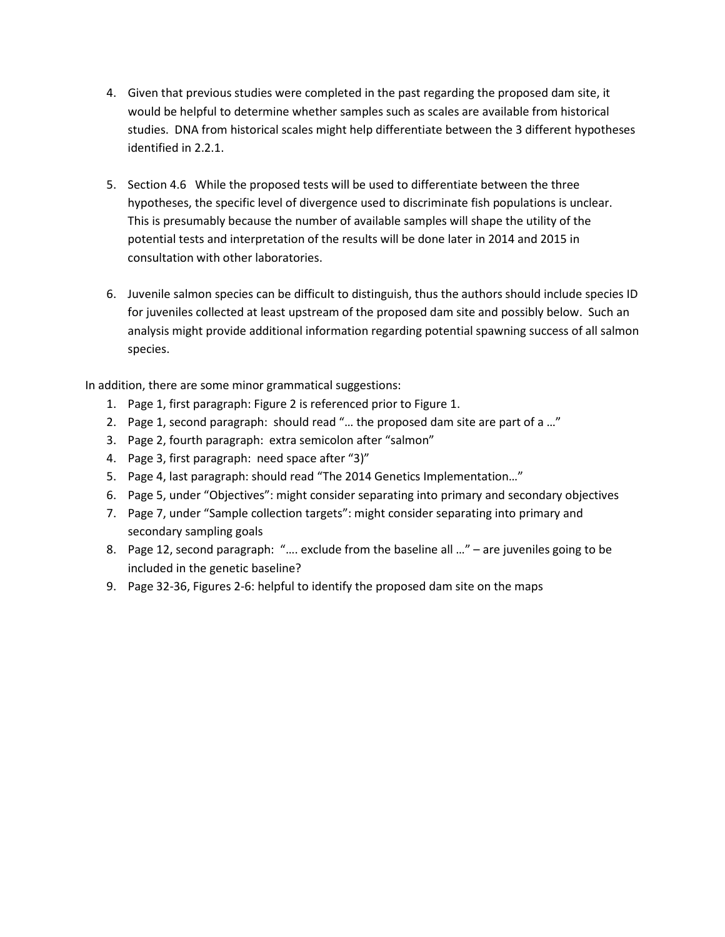- 4. Given that previous studies were completed in the past regarding the proposed dam site, it would be helpful to determine whether samples such as scales are available from historical studies. DNA from historical scales might help differentiate between the 3 different hypotheses identified in 2.2.1.
- 5. Section 4.6 While the proposed tests will be used to differentiate between the three hypotheses, the specific level of divergence used to discriminate fish populations is unclear. This is presumably because the number of available samples will shape the utility of the potential tests and interpretation of the results will be done later in 2014 and 2015 in consultation with other laboratories.
- 6. Juvenile salmon species can be difficult to distinguish, thus the authors should include species ID for juveniles collected at least upstream of the proposed dam site and possibly below. Such an analysis might provide additional information regarding potential spawning success of all salmon species.

In addition, there are some minor grammatical suggestions:

- 1. Page 1, first paragraph: Figure 2 is referenced prior to Figure 1.
- 2. Page 1, second paragraph: should read "… the proposed dam site are part of a …"
- 3. Page 2, fourth paragraph: extra semicolon after "salmon"
- 4. Page 3, first paragraph: need space after "3)"
- 5. Page 4, last paragraph: should read "The 2014 Genetics Implementation…"
- 6. Page 5, under "Objectives": might consider separating into primary and secondary objectives
- 7. Page 7, under "Sample collection targets": might consider separating into primary and secondary sampling goals
- 8. Page 12, second paragraph: "…. exclude from the baseline all …" are juveniles going to be included in the genetic baseline?
- 9. Page 32-36, Figures 2-6: helpful to identify the proposed dam site on the maps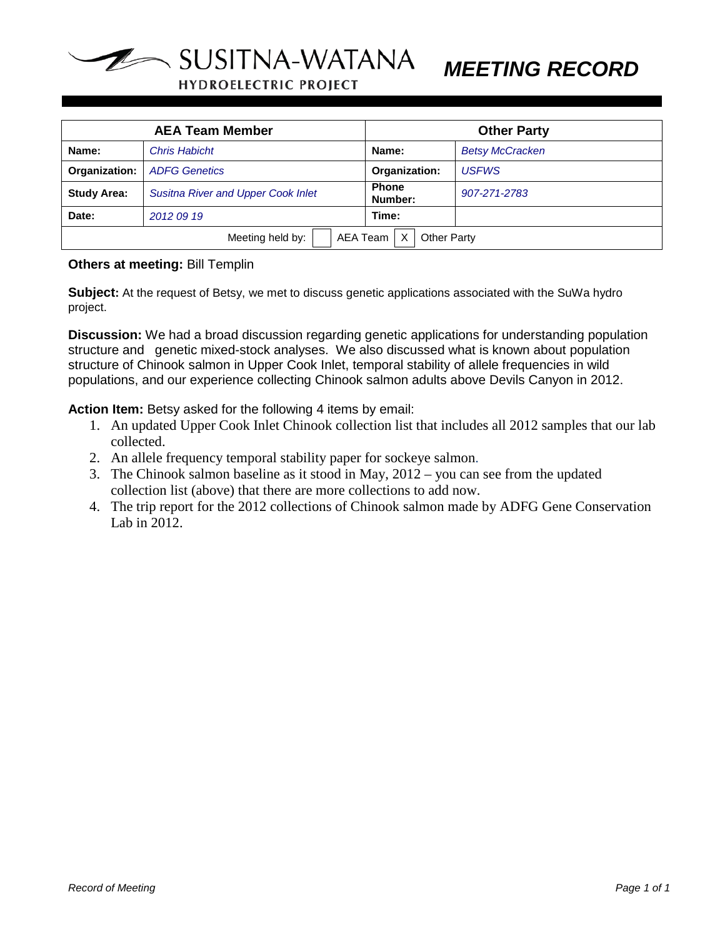

*MEETING RECORD*

**HYDROELECTRIC PROJECT** 

| <b>AEA Team Member</b>                             |                                           | <b>Other Party</b>      |                        |  |
|----------------------------------------------------|-------------------------------------------|-------------------------|------------------------|--|
| Name:                                              | <b>Chris Habicht</b>                      | Name:                   | <b>Betsy McCracken</b> |  |
| Organization:                                      | <b>ADFG Genetics</b>                      | Organization:           | <b>USFWS</b>           |  |
| <b>Study Area:</b>                                 | <b>Susitna River and Upper Cook Inlet</b> | <b>Phone</b><br>Number: | 907-271-2783           |  |
| Date:                                              | 2012 09 19                                | Time:                   |                        |  |
| AEA Team<br><b>Other Party</b><br>Meeting held by: |                                           |                         |                        |  |

#### **Others at meeting:** Bill Templin

**Subject:** At the request of Betsy, we met to discuss genetic applications associated with the SuWa hydro project.

**Discussion:** We had a broad discussion regarding genetic applications for understanding population structure and genetic mixed-stock analyses. We also discussed what is known about population structure of Chinook salmon in Upper Cook Inlet, temporal stability of allele frequencies in wild populations, and our experience collecting Chinook salmon adults above Devils Canyon in 2012.

**Action Item:** Betsy asked for the following 4 items by email:

- 1. An updated Upper Cook Inlet Chinook collection list that includes all 2012 samples that our lab collected.
- 2. An allele frequency temporal stability paper for sockeye salmon.
- 3. The Chinook salmon baseline as it stood in May, 2012 you can see from the updated collection list (above) that there are more collections to add now.
- 4. The trip report for the 2012 collections of Chinook salmon made by ADFG Gene Conservation Lab in 2012.